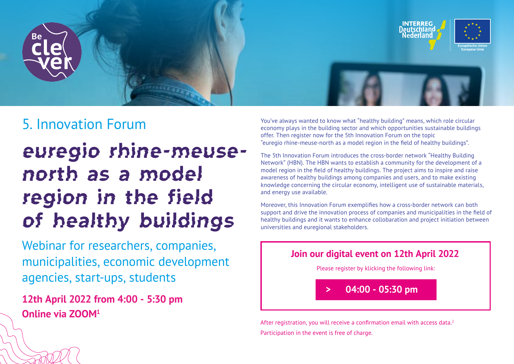

## 5. Innovation Forum

# euregio rhine-meusenorth as a model region in the field of healthy buildings

Webinar for researchers, companies, municipalities, economic development agencies, start-ups, students

**12th April 2022 from 4:00 - 5:30 pm Online via ZOOM1**

You've always wanted to know what "healthy building" means, which role circular economy plays in the building sector and which opportunities sustainable buildings offer. Then register now for the 5th Innovation Forum on the topic "euregio rhine-meuse-north as a model region in the field of healthy buildings".

[The 5th Innovation Forum introduces the cross-border network "Healthy Building](https://healthybuildingnetwork.com/de/)  Network" (HBN). The HBN wants to establish a community for the development of a model region in the field of healthy buildings. The project aims to inspire and raise awareness of healthy buildings among companies and users, and to make existing knowledge concerning the circular economy, intelligent use of sustainable materials, and energy use available.

Moreover, this Innovation Forum exemplifies how a cross-border network can both support and drive the innovation process of companies and municipalities in the field of healthy buildings and it wants to enhance collobaration and project initiation between universities and euregional stakeholders.



After registration, you will receive a confirmation email with access data.<sup>2</sup> Participation in the event is free of charge.